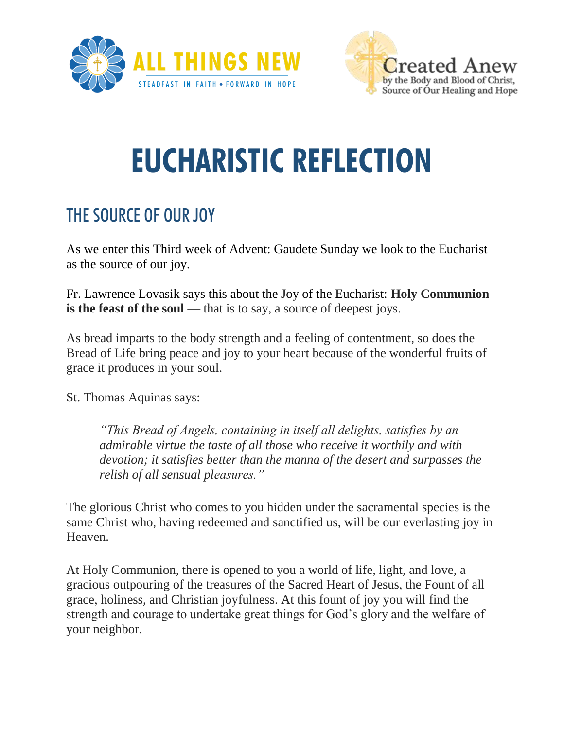



## **EUCHARISTIC REFLECTION**

## THE SOURCE OF OUR JOY

As we enter this Third week of Advent: Gaudete Sunday we look to the Eucharist as the source of our joy.

Fr. Lawrence Lovasik says this about the Joy of the Eucharist: **Holy Communion is the feast of the soul** — that is to say, a source of deepest joys.

As bread imparts to the body strength and a feeling of contentment, so does the Bread of Life bring peace and joy to your heart because of the wonderful fruits of grace it produces in your soul.

St. Thomas Aquinas says:

*"This Bread of Angels, containing in itself all delights, satisfies by an admirable virtue the taste of all those who receive it worthily and with devotion; it satisfies better than the manna of the desert and surpasses the relish of all sensual pleasures."*

The glorious Christ who comes to you hidden under the sacramental species is the same Christ who, having redeemed and sanctified us, will be our everlasting joy in Heaven.

At Holy Communion, there is opened to you a world of life, light, and love, a gracious outpouring of the treasures of the Sacred Heart of Jesus, the Fount of all grace, holiness, and Christian joyfulness. At this fount of joy you will find the strength and courage to undertake great things for God's glory and the welfare of your neighbor.